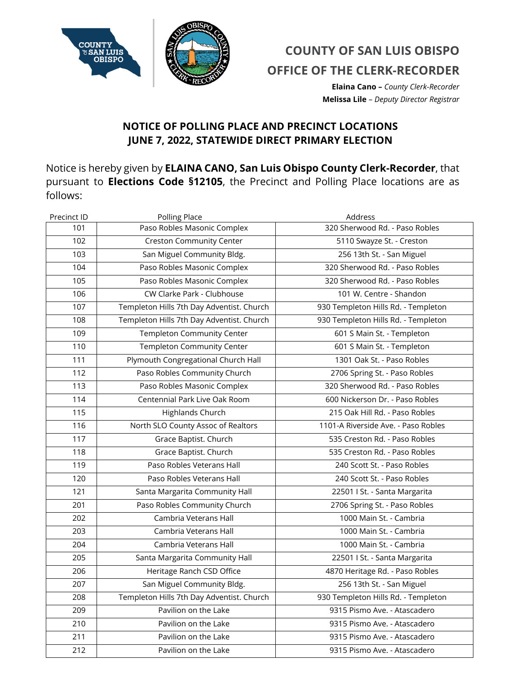

## **COUNTY OF SAN LUIS OBISPO OFFICE OF THE CLERK-RECORDER**

**Elaina Cano –** *County Clerk-Recorder* **Melissa Lile** – *Deputy Director Registrar*

## **NOTICE OF POLLING PLACE AND PRECINCT LOCATIONS JUNE 7, 2022, STATEWIDE DIRECT PRIMARY ELECTION**

Notice is hereby given by **ELAINA CANO, San Luis Obispo County Clerk-Recorder**, that pursuant to **Elections Code §12105**, the Precinct and Polling Place locations are as follows:

| Precinct ID | Polling Place                             | Address                             |
|-------------|-------------------------------------------|-------------------------------------|
| 101         | Paso Robles Masonic Complex               | 320 Sherwood Rd. - Paso Robles      |
| 102         | <b>Creston Community Center</b>           | 5110 Swayze St. - Creston           |
| 103         | San Miguel Community Bldg.                | 256 13th St. - San Miguel           |
| 104         | Paso Robles Masonic Complex               | 320 Sherwood Rd. - Paso Robles      |
| 105         | Paso Robles Masonic Complex               | 320 Sherwood Rd. - Paso Robles      |
| 106         | CW Clarke Park - Clubhouse                | 101 W. Centre - Shandon             |
| 107         | Templeton Hills 7th Day Adventist. Church | 930 Templeton Hills Rd. - Templeton |
| 108         | Templeton Hills 7th Day Adventist. Church | 930 Templeton Hills Rd. - Templeton |
| 109         | Templeton Community Center                | 601 S Main St. - Templeton          |
| 110         | Templeton Community Center                | 601 S Main St. - Templeton          |
| 111         | Plymouth Congregational Church Hall       | 1301 Oak St. - Paso Robles          |
| 112         | Paso Robles Community Church              | 2706 Spring St. - Paso Robles       |
| 113         | Paso Robles Masonic Complex               | 320 Sherwood Rd. - Paso Robles      |
| 114         | Centennial Park Live Oak Room             | 600 Nickerson Dr. - Paso Robles     |
| 115         | Highlands Church                          | 215 Oak Hill Rd. - Paso Robles      |
| 116         | North SLO County Assoc of Realtors        | 1101-A Riverside Ave. - Paso Robles |
| 117         | Grace Baptist. Church                     | 535 Creston Rd. - Paso Robles       |
| 118         | Grace Baptist. Church                     | 535 Creston Rd. - Paso Robles       |
| 119         | Paso Robles Veterans Hall                 | 240 Scott St. - Paso Robles         |
| 120         | Paso Robles Veterans Hall                 | 240 Scott St. - Paso Robles         |
| 121         | Santa Margarita Community Hall            | 22501   St. - Santa Margarita       |
| 201         | Paso Robles Community Church              | 2706 Spring St. - Paso Robles       |
| 202         | Cambria Veterans Hall                     | 1000 Main St. - Cambria             |
| 203         | Cambria Veterans Hall                     | 1000 Main St. - Cambria             |
| 204         | Cambria Veterans Hall                     | 1000 Main St. - Cambria             |
| 205         | Santa Margarita Community Hall            | 22501   St. - Santa Margarita       |
| 206         | Heritage Ranch CSD Office                 | 4870 Heritage Rd. - Paso Robles     |
| 207         | San Miguel Community Bldg.                | 256 13th St. - San Miguel           |
| 208         | Templeton Hills 7th Day Adventist. Church | 930 Templeton Hills Rd. - Templeton |
| 209         | Pavilion on the Lake                      | 9315 Pismo Ave. - Atascadero        |
| 210         | Pavilion on the Lake                      | 9315 Pismo Ave. - Atascadero        |
| 211         | Pavilion on the Lake                      | 9315 Pismo Ave. - Atascadero        |
| 212         | Pavilion on the Lake                      | 9315 Pismo Ave. - Atascadero        |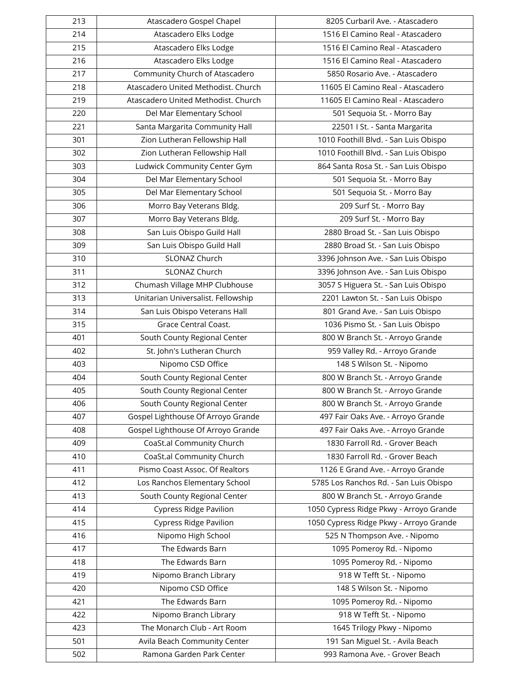| 213 | Atascadero Gospel Chapel            | 8205 Curbaril Ave. - Atascadero         |
|-----|-------------------------------------|-----------------------------------------|
| 214 | Atascadero Elks Lodge               | 1516 El Camino Real - Atascadero        |
| 215 | Atascadero Elks Lodge               | 1516 El Camino Real - Atascadero        |
| 216 | Atascadero Elks Lodge               | 1516 El Camino Real - Atascadero        |
| 217 | Community Church of Atascadero      | 5850 Rosario Ave. - Atascadero          |
| 218 | Atascadero United Methodist. Church | 11605 El Camino Real - Atascadero       |
| 219 | Atascadero United Methodist. Church | 11605 El Camino Real - Atascadero       |
| 220 | Del Mar Elementary School           | 501 Sequoia St. - Morro Bay             |
| 221 | Santa Margarita Community Hall      | 22501   St. - Santa Margarita           |
| 301 | Zion Lutheran Fellowship Hall       | 1010 Foothill Blvd. - San Luis Obispo   |
| 302 | Zion Lutheran Fellowship Hall       | 1010 Foothill Blvd. - San Luis Obispo   |
| 303 | Ludwick Community Center Gym        | 864 Santa Rosa St. - San Luis Obispo    |
| 304 | Del Mar Elementary School           | 501 Sequoia St. - Morro Bay             |
| 305 | Del Mar Elementary School           | 501 Sequoia St. - Morro Bay             |
| 306 | Morro Bay Veterans Bldg.            | 209 Surf St. - Morro Bay                |
| 307 | Morro Bay Veterans Bldg.            | 209 Surf St. - Morro Bay                |
| 308 | San Luis Obispo Guild Hall          | 2880 Broad St. - San Luis Obispo        |
| 309 | San Luis Obispo Guild Hall          | 2880 Broad St. - San Luis Obispo        |
| 310 | SLONAZ Church                       | 3396 Johnson Ave. - San Luis Obispo     |
| 311 | SLONAZ Church                       | 3396 Johnson Ave. - San Luis Obispo     |
| 312 | Chumash Village MHP Clubhouse       | 3057 S Higuera St. - San Luis Obispo    |
| 313 | Unitarian Universalist. Fellowship  | 2201 Lawton St. - San Luis Obispo       |
| 314 | San Luis Obispo Veterans Hall       | 801 Grand Ave. - San Luis Obispo        |
| 315 | Grace Central Coast.                | 1036 Pismo St. - San Luis Obispo        |
| 401 | South County Regional Center        | 800 W Branch St. - Arroyo Grande        |
| 402 | St. John's Lutheran Church          | 959 Valley Rd. - Arroyo Grande          |
| 403 | Nipomo CSD Office                   | 148 S Wilson St. - Nipomo               |
| 404 | South County Regional Center        | 800 W Branch St. - Arroyo Grande        |
| 405 | South County Regional Center        | 800 W Branch St. - Arroyo Grande        |
| 406 | South County Regional Center        | 800 W Branch St. - Arroyo Grande        |
| 407 | Gospel Lighthouse Of Arroyo Grande  | 497 Fair Oaks Ave. - Arroyo Grande      |
| 408 | Gospel Lighthouse Of Arroyo Grande  | 497 Fair Oaks Ave. - Arroyo Grande      |
| 409 | CoaSt.al Community Church           | 1830 Farroll Rd. - Grover Beach         |
| 410 | CoaSt.al Community Church           | 1830 Farroll Rd. - Grover Beach         |
| 411 | Pismo Coast Assoc. Of Realtors      | 1126 E Grand Ave. - Arroyo Grande       |
| 412 | Los Ranchos Elementary School       | 5785 Los Ranchos Rd. - San Luis Obispo  |
| 413 | South County Regional Center        | 800 W Branch St. - Arroyo Grande        |
| 414 | <b>Cypress Ridge Pavilion</b>       | 1050 Cypress Ridge Pkwy - Arroyo Grande |
| 415 | <b>Cypress Ridge Pavilion</b>       | 1050 Cypress Ridge Pkwy - Arroyo Grande |
| 416 | Nipomo High School                  | 525 N Thompson Ave. - Nipomo            |
| 417 | The Edwards Barn                    | 1095 Pomeroy Rd. - Nipomo               |
| 418 | The Edwards Barn                    | 1095 Pomeroy Rd. - Nipomo               |
| 419 | Nipomo Branch Library               | 918 W Tefft St. - Nipomo                |
| 420 | Nipomo CSD Office                   | 148 S Wilson St. - Nipomo               |
| 421 | The Edwards Barn                    | 1095 Pomeroy Rd. - Nipomo               |
| 422 | Nipomo Branch Library               | 918 W Tefft St. - Nipomo                |
| 423 | The Monarch Club - Art Room         | 1645 Trilogy Pkwy - Nipomo              |
| 501 | Avila Beach Community Center        | 191 San Miguel St. - Avila Beach        |
| 502 | Ramona Garden Park Center           | 993 Ramona Ave. - Grover Beach          |